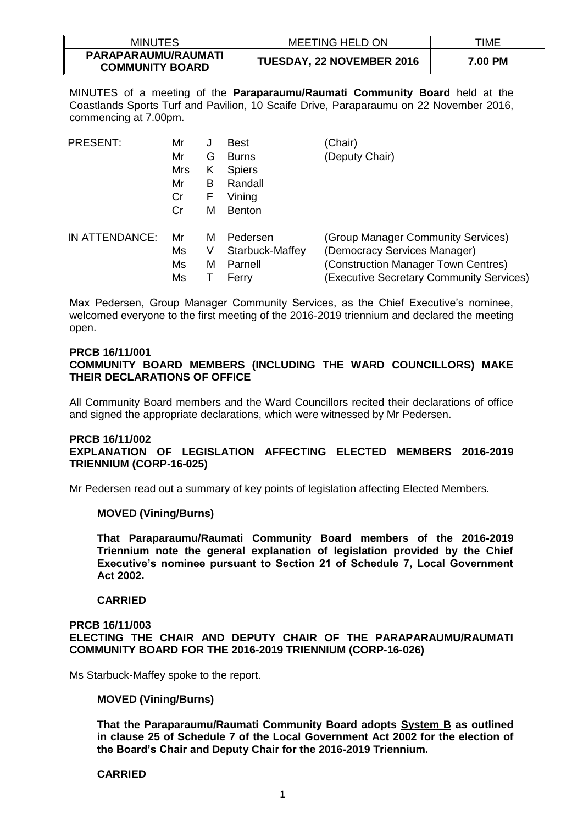| <b>MINUTES</b>                                | <b>MEETING HELD ON</b>           | TIME    |
|-----------------------------------------------|----------------------------------|---------|
| PARAPARAUMU/RAUMATI<br><b>COMMUNITY BOARD</b> | <b>TUESDAY, 22 NOVEMBER 2016</b> | 7.00 PM |

MINUTES of a meeting of the **Paraparaumu/Raumati Community Board** held at the Coastlands Sports Turf and Pavilion, 10 Scaife Drive, Paraparaumu on 22 November 2016, commencing at 7.00pm.

| <b>PRESENT:</b> | Mr         | J | <b>Best</b>     | (Chair)                                  |
|-----------------|------------|---|-----------------|------------------------------------------|
|                 | Mr         | G | <b>Burns</b>    | (Deputy Chair)                           |
|                 | <b>Mrs</b> | Κ | <b>Spiers</b>   |                                          |
|                 | Mr         | B | Randall         |                                          |
|                 | Cr         | F | Vining          |                                          |
|                 | Cr         | м | <b>Benton</b>   |                                          |
| IN ATTENDANCE:  | Mr         | м | Pedersen        | (Group Manager Community Services)       |
|                 | Ms         | V | Starbuck-Maffey | (Democracy Services Manager)             |
|                 | Ms         | м | Parnell         | (Construction Manager Town Centres)      |
|                 | Ms         |   | Ferry           | (Executive Secretary Community Services) |

Max Pedersen, Group Manager Community Services, as the Chief Executive's nominee, welcomed everyone to the first meeting of the 2016-2019 triennium and declared the meeting open.

# **PRCB 16/11/001 COMMUNITY BOARD MEMBERS (INCLUDING THE WARD COUNCILLORS) MAKE THEIR DECLARATIONS OF OFFICE**

All Community Board members and the Ward Councillors recited their declarations of office and signed the appropriate declarations, which were witnessed by Mr Pedersen.

# **PRCB 16/11/002 EXPLANATION OF LEGISLATION AFFECTING ELECTED MEMBERS 2016-2019 TRIENNIUM (CORP-16-025)**

Mr Pedersen read out a summary of key points of legislation affecting Elected Members.

# **MOVED (Vining/Burns)**

**That Paraparaumu/Raumati Community Board members of the 2016-2019 Triennium note the general explanation of legislation provided by the Chief Executive's nominee pursuant to Section 21 of Schedule 7, Local Government Act 2002.**

# **CARRIED**

# **PRCB 16/11/003 ELECTING THE CHAIR AND DEPUTY CHAIR OF THE PARAPARAUMU/RAUMATI COMMUNITY BOARD FOR THE 2016-2019 TRIENNIUM (CORP-16-026)**

Ms Starbuck-Maffey spoke to the report.

# **MOVED (Vining/Burns)**

**That the Paraparaumu/Raumati Community Board adopts System B as outlined in clause 25 of Schedule 7 of the Local Government Act 2002 for the election of the Board's Chair and Deputy Chair for the 2016-2019 Triennium.** 

#### **CARRIED**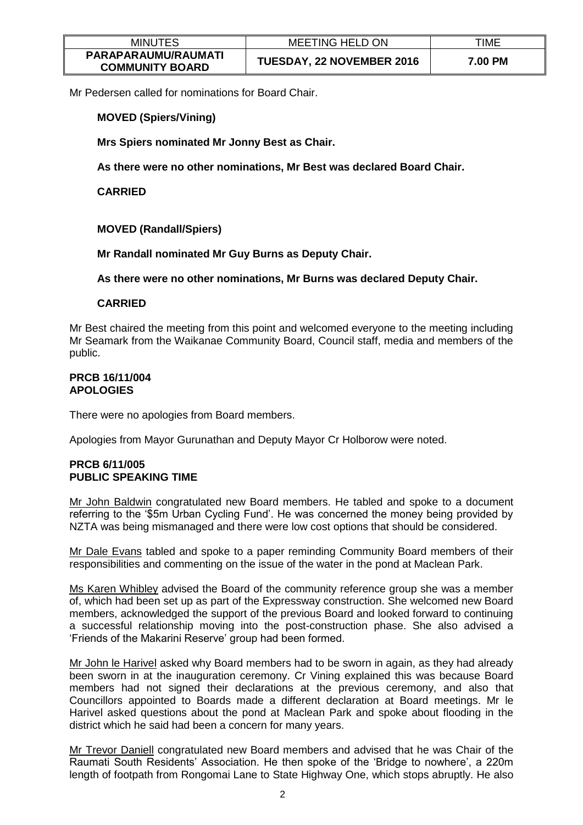| <b>MINUTES</b>                                | <b>MEETING HELD ON</b>           | TIME    |
|-----------------------------------------------|----------------------------------|---------|
| PARAPARAUMU/RAUMATI<br><b>COMMUNITY BOARD</b> | <b>TUESDAY, 22 NOVEMBER 2016</b> | 7.00 PM |

Mr Pedersen called for nominations for Board Chair.

**MOVED (Spiers/Vining)**

**Mrs Spiers nominated Mr Jonny Best as Chair.** 

**As there were no other nominations, Mr Best was declared Board Chair.**

**CARRIED**

# **MOVED (Randall/Spiers)**

**Mr Randall nominated Mr Guy Burns as Deputy Chair.** 

**As there were no other nominations, Mr Burns was declared Deputy Chair.**

# **CARRIED**

Mr Best chaired the meeting from this point and welcomed everyone to the meeting including Mr Seamark from the Waikanae Community Board, Council staff, media and members of the public.

#### **PRCB 16/11/004 APOLOGIES**

There were no apologies from Board members.

Apologies from Mayor Gurunathan and Deputy Mayor Cr Holborow were noted.

# **PRCB 6/11/005 PUBLIC SPEAKING TIME**

Mr John Baldwin congratulated new Board members. He tabled and spoke to a document referring to the '\$5m Urban Cycling Fund'. He was concerned the money being provided by NZTA was being mismanaged and there were low cost options that should be considered.

Mr Dale Evans tabled and spoke to a paper reminding Community Board members of their responsibilities and commenting on the issue of the water in the pond at Maclean Park.

Ms Karen Whibley advised the Board of the community reference group she was a member of, which had been set up as part of the Expressway construction. She welcomed new Board members, acknowledged the support of the previous Board and looked forward to continuing a successful relationship moving into the post-construction phase. She also advised a 'Friends of the Makarini Reserve' group had been formed.

Mr John le Harivel asked why Board members had to be sworn in again, as they had already been sworn in at the inauguration ceremony. Cr Vining explained this was because Board members had not signed their declarations at the previous ceremony, and also that Councillors appointed to Boards made a different declaration at Board meetings. Mr le Harivel asked questions about the pond at Maclean Park and spoke about flooding in the district which he said had been a concern for many years.

Mr Trevor Daniell congratulated new Board members and advised that he was Chair of the Raumati South Residents' Association. He then spoke of the 'Bridge to nowhere', a 220m length of footpath from Rongomai Lane to State Highway One, which stops abruptly. He also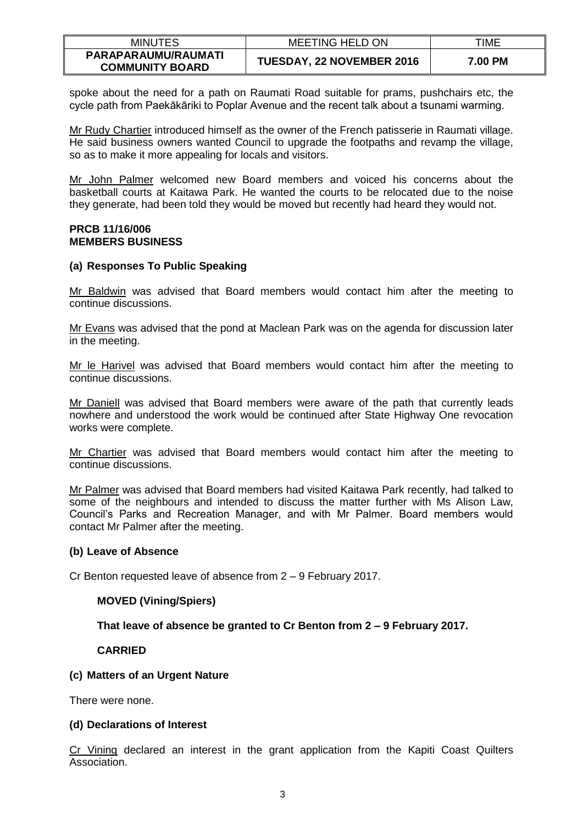| <b>MINUTES</b>                                | <b>MEETING HELD ON</b>           | TIME    |
|-----------------------------------------------|----------------------------------|---------|
| PARAPARAUMU/RAUMATI<br><b>COMMUNITY BOARD</b> | <b>TUESDAY, 22 NOVEMBER 2016</b> | 7.00 PM |

spoke about the need for a path on Raumati Road suitable for prams, pushchairs etc, the cycle path from Paekākāriki to Poplar Avenue and the recent talk about a tsunami warming.

Mr Rudy Chartier introduced himself as the owner of the French patisserie in Raumati village. He said business owners wanted Council to upgrade the footpaths and revamp the village, so as to make it more appealing for locals and visitors.

Mr John Palmer welcomed new Board members and voiced his concerns about the basketball courts at Kaitawa Park. He wanted the courts to be relocated due to the noise they generate, had been told they would be moved but recently had heard they would not.

# **PRCB 11/16/006 MEMBERS BUSINESS**

# **(a) Responses To Public Speaking**

Mr Baldwin was advised that Board members would contact him after the meeting to continue discussions.

Mr Evans was advised that the pond at Maclean Park was on the agenda for discussion later in the meeting.

Mr le Harivel was advised that Board members would contact him after the meeting to continue discussions.

Mr Daniell was advised that Board members were aware of the path that currently leads nowhere and understood the work would be continued after State Highway One revocation works were complete.

Mr Chartier was advised that Board members would contact him after the meeting to continue discussions.

Mr Palmer was advised that Board members had visited Kaitawa Park recently, had talked to some of the neighbours and intended to discuss the matter further with Ms Alison Law, Council's Parks and Recreation Manager, and with Mr Palmer. Board members would contact Mr Palmer after the meeting.

# **(b) Leave of Absence**

Cr Benton requested leave of absence from 2 – 9 February 2017.

# **MOVED (Vining/Spiers)**

# **That leave of absence be granted to Cr Benton from 2 – 9 February 2017.**

# **CARRIED**

# **(c) Matters of an Urgent Nature**

There were none.

# **(d) Declarations of Interest**

Cr Vining declared an interest in the grant application from the Kapiti Coast Quilters Association.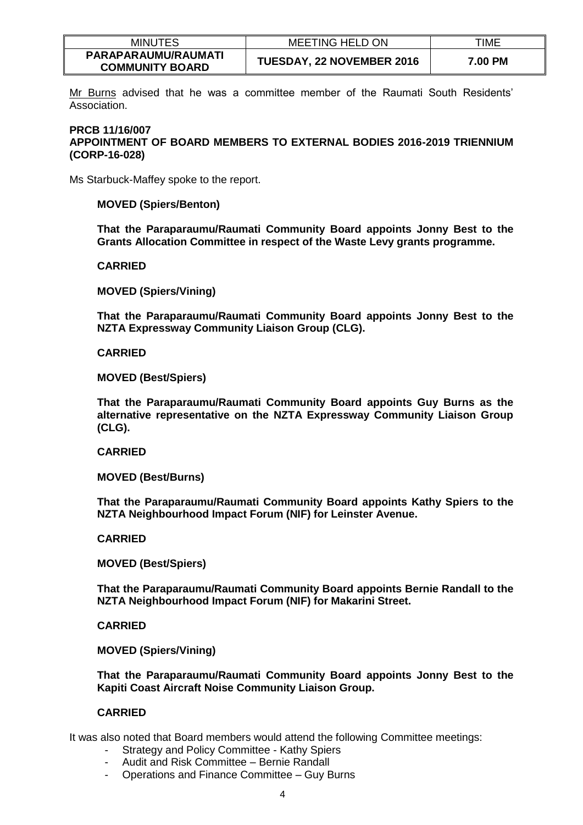| <b>MINUTES</b>                                | <b>MEETING HELD ON</b>           | TIME    |
|-----------------------------------------------|----------------------------------|---------|
| PARAPARAUMU/RAUMATI<br><b>COMMUNITY BOARD</b> | <b>TUESDAY, 22 NOVEMBER 2016</b> | 7.00 PM |

Mr Burns advised that he was a committee member of the Raumati South Residents' Association.

# **PRCB 11/16/007 APPOINTMENT OF BOARD MEMBERS TO EXTERNAL BODIES 2016-2019 TRIENNIUM (CORP-16-028)**

Ms Starbuck-Maffey spoke to the report.

# **MOVED (Spiers/Benton)**

**That the Paraparaumu/Raumati Community Board appoints Jonny Best to the Grants Allocation Committee in respect of the Waste Levy grants programme.**

#### **CARRIED**

**MOVED (Spiers/Vining)**

**That the Paraparaumu/Raumati Community Board appoints Jonny Best to the NZTA Expressway Community Liaison Group (CLG).**

#### **CARRIED**

**MOVED (Best/Spiers)**

**That the Paraparaumu/Raumati Community Board appoints Guy Burns as the alternative representative on the NZTA Expressway Community Liaison Group (CLG).**

#### **CARRIED**

**MOVED (Best/Burns)**

**That the Paraparaumu/Raumati Community Board appoints Kathy Spiers to the NZTA Neighbourhood Impact Forum (NIF) for Leinster Avenue.**

# **CARRIED**

**MOVED (Best/Spiers)**

**That the Paraparaumu/Raumati Community Board appoints Bernie Randall to the NZTA Neighbourhood Impact Forum (NIF) for Makarini Street.**

**CARRIED**

**MOVED (Spiers/Vining)**

**That the Paraparaumu/Raumati Community Board appoints Jonny Best to the Kapiti Coast Aircraft Noise Community Liaison Group.**

# **CARRIED**

It was also noted that Board members would attend the following Committee meetings:

- Strategy and Policy Committee Kathy Spiers
- Audit and Risk Committee Bernie Randall
- Operations and Finance Committee Guy Burns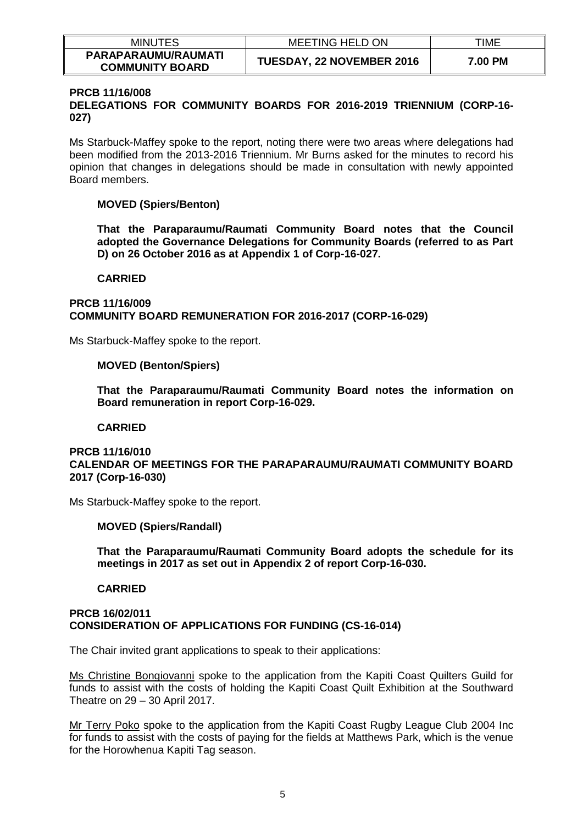| <b>MINUTES</b>                                | <b>MEETING HELD ON</b>    | TIME    |
|-----------------------------------------------|---------------------------|---------|
| PARAPARAUMU/RAUMATI<br><b>COMMUNITY BOARD</b> | TUESDAY, 22 NOVEMBER 2016 | 7.00 PM |

# **PRCB 11/16/008**

**DELEGATIONS FOR COMMUNITY BOARDS FOR 2016-2019 TRIENNIUM (CORP-16- 027)**

Ms Starbuck-Maffey spoke to the report, noting there were two areas where delegations had been modified from the 2013-2016 Triennium. Mr Burns asked for the minutes to record his opinion that changes in delegations should be made in consultation with newly appointed Board members.

# **MOVED (Spiers/Benton)**

**That the Paraparaumu/Raumati Community Board notes that the Council adopted the Governance Delegations for Community Boards (referred to as Part D) on 26 October 2016 as at Appendix 1 of Corp-16-027.** 

# **CARRIED**

# **PRCB 11/16/009 COMMUNITY BOARD REMUNERATION FOR 2016-2017 (CORP-16-029)**

Ms Starbuck-Maffey spoke to the report.

# **MOVED (Benton/Spiers)**

**That the Paraparaumu/Raumati Community Board notes the information on Board remuneration in report Corp-16-029.** 

# **CARRIED**

# **PRCB 11/16/010 CALENDAR OF MEETINGS FOR THE PARAPARAUMU/RAUMATI COMMUNITY BOARD 2017 (Corp-16-030)**

Ms Starbuck-Maffey spoke to the report.

# **MOVED (Spiers/Randall)**

**That the Paraparaumu/Raumati Community Board adopts the schedule for its meetings in 2017 as set out in Appendix 2 of report Corp-16-030.** 

# **CARRIED**

#### **PRCB 16/02/011 CONSIDERATION OF APPLICATIONS FOR FUNDING (CS-16-014)**

The Chair invited grant applications to speak to their applications:

Ms Christine Bongiovanni spoke to the application from the Kapiti Coast Quilters Guild for funds to assist with the costs of holding the Kapiti Coast Quilt Exhibition at the Southward Theatre on 29 – 30 April 2017.

Mr Terry Poko spoke to the application from the Kapiti Coast Rugby League Club 2004 Inc for funds to assist with the costs of paying for the fields at Matthews Park, which is the venue for the Horowhenua Kapiti Tag season.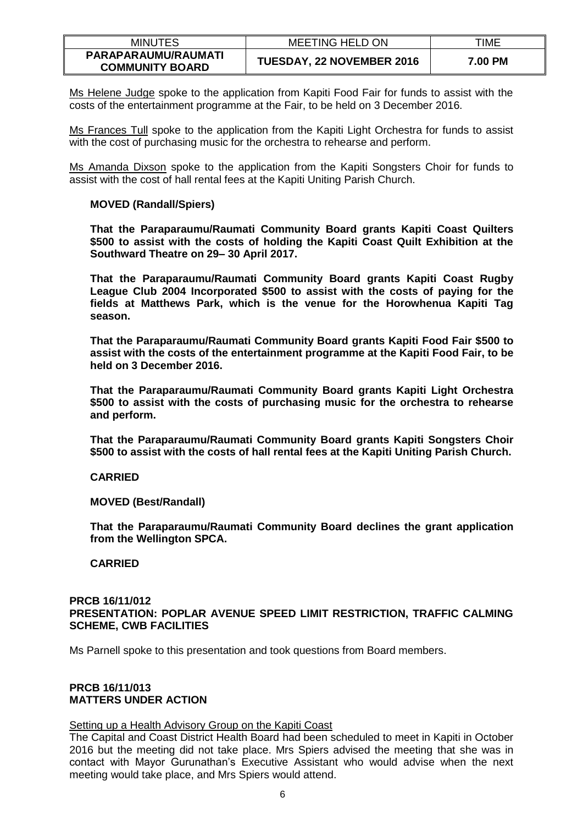| <b>MINUTES</b>                                | <b>MEETING HELD ON</b>           | TIME    |
|-----------------------------------------------|----------------------------------|---------|
| PARAPARAUMU/RAUMATI<br><b>COMMUNITY BOARD</b> | <b>TUESDAY, 22 NOVEMBER 2016</b> | 7.00 PM |

Ms Helene Judge spoke to the application from Kapiti Food Fair for funds to assist with the costs of the entertainment programme at the Fair, to be held on 3 December 2016.

Ms Frances Tull spoke to the application from the Kapiti Light Orchestra for funds to assist with the cost of purchasing music for the orchestra to rehearse and perform.

Ms Amanda Dixson spoke to the application from the Kapiti Songsters Choir for funds to assist with the cost of hall rental fees at the Kapiti Uniting Parish Church.

# **MOVED (Randall/Spiers)**

**That the Paraparaumu/Raumati Community Board grants Kapiti Coast Quilters \$500 to assist with the costs of holding the Kapiti Coast Quilt Exhibition at the Southward Theatre on 29– 30 April 2017.** 

**That the Paraparaumu/Raumati Community Board grants Kapiti Coast Rugby League Club 2004 Incorporated \$500 to assist with the costs of paying for the fields at Matthews Park, which is the venue for the Horowhenua Kapiti Tag season.** 

**That the Paraparaumu/Raumati Community Board grants Kapiti Food Fair \$500 to assist with the costs of the entertainment programme at the Kapiti Food Fair, to be held on 3 December 2016.**

**That the Paraparaumu/Raumati Community Board grants Kapiti Light Orchestra \$500 to assist with the costs of purchasing music for the orchestra to rehearse and perform.**

**That the Paraparaumu/Raumati Community Board grants Kapiti Songsters Choir \$500 to assist with the costs of hall rental fees at the Kapiti Uniting Parish Church.** 

#### **CARRIED**

**MOVED (Best/Randall)**

**That the Paraparaumu/Raumati Community Board declines the grant application from the Wellington SPCA.**

# **CARRIED**

#### **PRCB 16/11/012 PRESENTATION: POPLAR AVENUE SPEED LIMIT RESTRICTION, TRAFFIC CALMING SCHEME, CWB FACILITIES**

Ms Parnell spoke to this presentation and took questions from Board members.

# **PRCB 16/11/013 MATTERS UNDER ACTION**

#### Setting up a Health Advisory Group on the Kapiti Coast

The Capital and Coast District Health Board had been scheduled to meet in Kapiti in October 2016 but the meeting did not take place. Mrs Spiers advised the meeting that she was in contact with Mayor Gurunathan's Executive Assistant who would advise when the next meeting would take place, and Mrs Spiers would attend.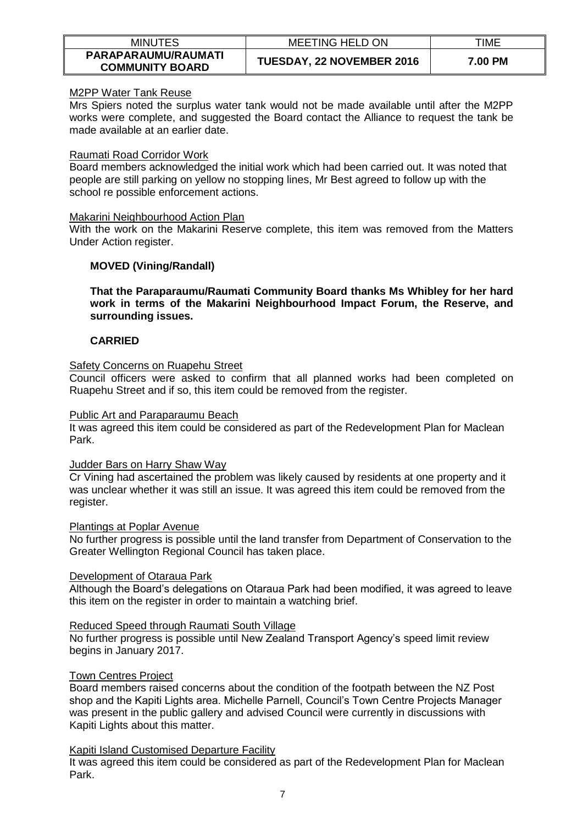| <b>MINUTES</b>                                | MEETING HELD ON                  | TIME    |
|-----------------------------------------------|----------------------------------|---------|
| PARAPARAUMU/RAUMATI<br><b>COMMUNITY BOARD</b> | <b>TUESDAY, 22 NOVEMBER 2016</b> | 7.00 PM |

# M2PP Water Tank Reuse

Mrs Spiers noted the surplus water tank would not be made available until after the M2PP works were complete, and suggested the Board contact the Alliance to request the tank be made available at an earlier date.

# Raumati Road Corridor Work

Board members acknowledged the initial work which had been carried out. It was noted that people are still parking on yellow no stopping lines, Mr Best agreed to follow up with the school re possible enforcement actions.

# Makarini Neighbourhood Action Plan

With the work on the Makarini Reserve complete, this item was removed from the Matters Under Action register.

# **MOVED (Vining/Randall)**

**That the Paraparaumu/Raumati Community Board thanks Ms Whibley for her hard work in terms of the Makarini Neighbourhood Impact Forum, the Reserve, and surrounding issues.**

# **CARRIED**

# Safety Concerns on Ruapehu Street

Council officers were asked to confirm that all planned works had been completed on Ruapehu Street and if so, this item could be removed from the register.

# Public Art and Paraparaumu Beach

It was agreed this item could be considered as part of the Redevelopment Plan for Maclean Park.

# Judder Bars on Harry Shaw Way

Cr Vining had ascertained the problem was likely caused by residents at one property and it was unclear whether it was still an issue. It was agreed this item could be removed from the register.

# Plantings at Poplar Avenue

No further progress is possible until the land transfer from Department of Conservation to the Greater Wellington Regional Council has taken place.

# Development of Otaraua Park

Although the Board's delegations on Otaraua Park had been modified, it was agreed to leave this item on the register in order to maintain a watching brief.

# Reduced Speed through Raumati South Village

No further progress is possible until New Zealand Transport Agency's speed limit review begins in January 2017.

# Town Centres Project

Board members raised concerns about the condition of the footpath between the NZ Post shop and the Kapiti Lights area. Michelle Parnell, Council's Town Centre Projects Manager was present in the public gallery and advised Council were currently in discussions with Kapiti Lights about this matter.

# Kapiti Island Customised Departure Facility

It was agreed this item could be considered as part of the Redevelopment Plan for Maclean Park.